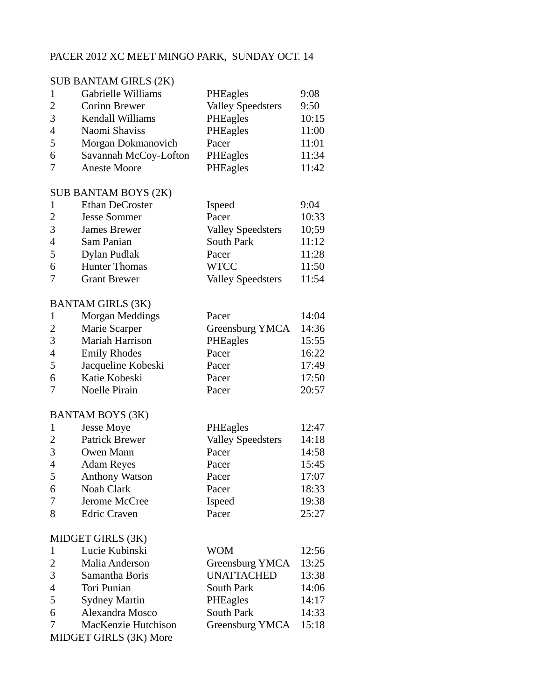# PACER 2012 XC MEET MINGO PARK, SUNDAY OCT. 14

# SUB BANTAM GIRLS (2K)

|                | Gabrielle Williams      | PHEagles                 | 9:08  |
|----------------|-------------------------|--------------------------|-------|
| 2              | Corinn Brewer           | <b>Valley Speedsters</b> | 9:50  |
| 3              | <b>Kendall Williams</b> | PHEagles                 | 10:15 |
| $\overline{4}$ | Naomi Shaviss           | PHEagles                 | 11:00 |
| 5              | Morgan Dokmanovich      | Pacer                    | 11:01 |
| 6              | Savannah McCoy-Lofton   | PHEagles                 | 11:34 |
| 7              | Aneste Moore            | PHEagles                 | 11:42 |

### SUB BANTAM BOYS (2K)

|                             | Ethan DeCroster      | Ispeed                   | 9:04  |
|-----------------------------|----------------------|--------------------------|-------|
| $\mathcal{D}_{\mathcal{L}}$ | Jesse Sommer         | Pacer                    | 10:33 |
| $\mathcal{R}$               | James Brewer         | <b>Valley Speedsters</b> | 10:59 |
| $\overline{A}$              | Sam Panian           | <b>South Park</b>        | 11:12 |
| .5                          | Dylan Pudlak         | Pacer                    | 11:28 |
| 6                           | <b>Hunter Thomas</b> | <b>WTCC</b>              | 11:50 |
|                             | <b>Grant Brewer</b>  | <b>Valley Speedsters</b> | 11:54 |

### BANTAM GIRLS (3K)

|                             | Morgan Meddings     | Pacer           | 14:04 |
|-----------------------------|---------------------|-----------------|-------|
| $\mathcal{D}_{\mathcal{L}}$ | Marie Scarper       | Greensburg YMCA | 14:36 |
| 3                           | Mariah Harrison     | PHEagles        | 15:55 |
| $\overline{A}$              | <b>Emily Rhodes</b> | Pacer           | 16:22 |
| .5                          | Jacqueline Kobeski  | Pacer           | 17:49 |
| 6                           | Katie Kobeski       | Pacer           | 17:50 |
|                             |                     |                 |       |

7 Noelle Pirain Pacer 20:57

# BANTAM BOYS (3K)

|                | Jesse Moye            | PHEagles                 | 12:47 |
|----------------|-----------------------|--------------------------|-------|
| 2              | Patrick Brewer        | <b>Valley Speedsters</b> | 14:18 |
| 3              | Owen Mann             | Pacer                    | 14:58 |
| $\overline{4}$ | <b>Adam Reyes</b>     | Pacer                    | 15:45 |
| 5              | <b>Anthony Watson</b> | Pacer                    | 17:07 |
| 6              | Noah Clark            | Pacer                    | 18:33 |
| 7              | Jerome McCree         | Ispeed                   | 19:38 |
| 8              | <b>Edric Craven</b>   | Pacer                    | 25:27 |

#### MIDGET GIRLS (3K)

|                             | Lucie Kubinski       | <b>WOM</b>        | 12:56 |  |
|-----------------------------|----------------------|-------------------|-------|--|
| $\mathcal{D}_{\mathcal{L}}$ | Malia Anderson       | Greensburg YMCA   | 13:25 |  |
| 3                           | Samantha Boris       | <b>UNATTACHED</b> | 13:38 |  |
| $\overline{A}$              | Tori Punian          | South Park        | 14:06 |  |
| 5                           | <b>Sydney Martin</b> | PHEagles          | 14:17 |  |
| 6                           | Alexandra Mosco      | <b>South Park</b> | 14:33 |  |
| 7                           | MacKenzie Hutchison  | Greensburg YMCA   | 15:18 |  |
| MIDGET GIRLS (3K) More      |                      |                   |       |  |